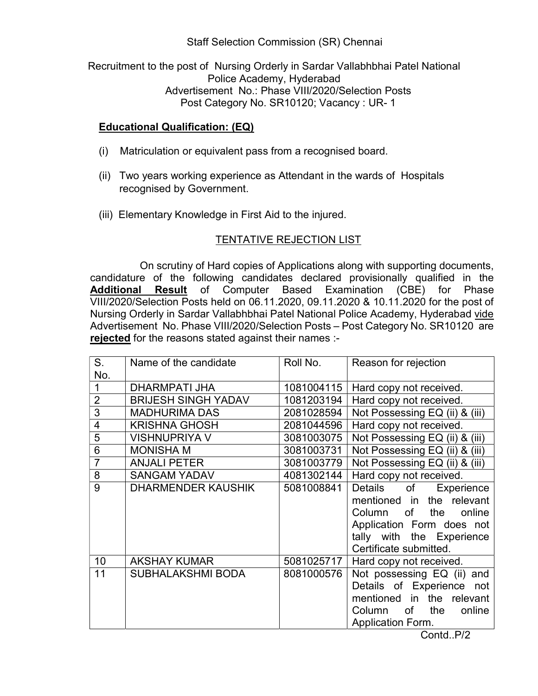Staff Selection Commission (SR) Chennai

Recruitment to the post of Nursing Orderly in Sardar Vallabhbhai Patel National Police Academy, Hyderabad Advertisement No.: Phase VIII/2020/Selection Posts Post Category No. SR10120; Vacancy : UR- 1

## Educational Qualification: (EQ)

- (i) Matriculation or equivalent pass from a recognised board.
- (ii) Two years working experience as Attendant in the wards of Hospitals recognised by Government.
- (iii) Elementary Knowledge in First Aid to the injured.

## TENTATIVE REJECTION LIST

 On scrutiny of Hard copies of Applications along with supporting documents, candidature of the following candidates declared provisionally qualified in the Additional Result of Computer Based Examination (CBE) for Phase VIII/2020/Selection Posts held on 06.11.2020, 09.11.2020 & 10.11.2020 for the post of Nursing Orderly in Sardar Vallabhbhai Patel National Police Academy, Hyderabad vide Advertisement No. Phase VIII/2020/Selection Posts – Post Category No. SR10120 are rejected for the reasons stated against their names :-

| $S_{1}$        | Name of the candidate      | Roll No.   | Reason for rejection           |
|----------------|----------------------------|------------|--------------------------------|
| No.            |                            |            |                                |
| $\mathbf 1$    | <b>DHARMPATI JHA</b>       | 1081004115 | Hard copy not received.        |
| $\overline{2}$ | <b>BRIJESH SINGH YADAV</b> | 1081203194 | Hard copy not received.        |
| 3              | <b>MADHURIMA DAS</b>       | 2081028594 | Not Possessing EQ (ii) & (iii) |
| $\overline{4}$ | <b>KRISHNA GHOSH</b>       | 2081044596 | Hard copy not received.        |
| $\overline{5}$ | <b>VISHNUPRIYA V</b>       | 3081003075 | Not Possessing EQ (ii) & (iii) |
| 6              | <b>MONISHA M</b>           | 3081003731 | Not Possessing EQ (ii) & (iii) |
| $\overline{7}$ | <b>ANJALI PETER</b>        | 3081003779 | Not Possessing EQ (ii) & (iii) |
| 8              | <b>SANGAM YADAV</b>        | 4081302144 | Hard copy not received.        |
| 9              | <b>DHARMENDER KAUSHIK</b>  | 5081008841 | Details of<br>Experience       |
|                |                            |            | mentioned in the relevant      |
|                |                            |            | Column of the<br>online        |
|                |                            |            | Application Form does not      |
|                |                            |            | tally with the Experience      |
|                |                            |            | Certificate submitted.         |
| 10             | <b>AKSHAY KUMAR</b>        | 5081025717 | Hard copy not received.        |
| 11             | <b>SUBHALAKSHMI BODA</b>   | 8081000576 | Not possessing EQ (ii) and     |
|                |                            |            | Details of Experience not      |
|                |                            |            | mentioned in the relevant      |
|                |                            |            | the<br>online<br>Column of     |
|                |                            |            | <b>Application Form.</b>       |